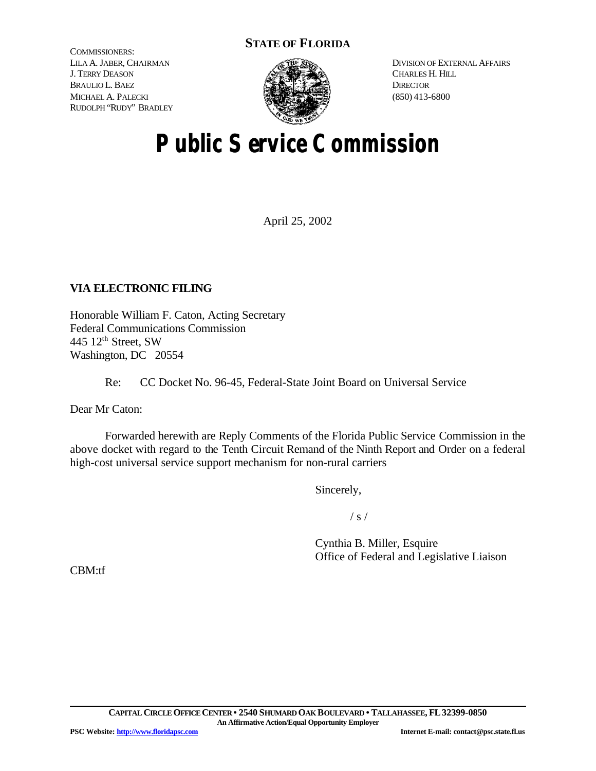# **STATE OF FLORIDA**

COMMISSIONERS: LILA A. JABER, CHAIRMAN J. TERRY DEASON BRAULIO L. BAEZ MICHAEL A. PALECKI RUDOLPH "RUDY" BRADLEY



DIVISION OF EXTERNAL AFFAIRS CHARLES H. HILL **DIRECTOR** (850) 413-6800

# **Public Service Commission**

April 25, 2002

# **VIA ELECTRONIC FILING**

Honorable William F. Caton, Acting Secretary Federal Communications Commission 445 12<sup>th</sup> Street, SW Washington, DC 20554

Re: CC Docket No. 96-45, Federal-State Joint Board on Universal Service

Dear Mr Caton:

Forwarded herewith are Reply Comments of the Florida Public Service Commission in the above docket with regard to the Tenth Circuit Remand of the Ninth Report and Order on a federal high-cost universal service support mechanism for non-rural carriers

Sincerely,

 $/ s /$ 

Cynthia B. Miller, Esquire Office of Federal and Legislative Liaison

CBM:tf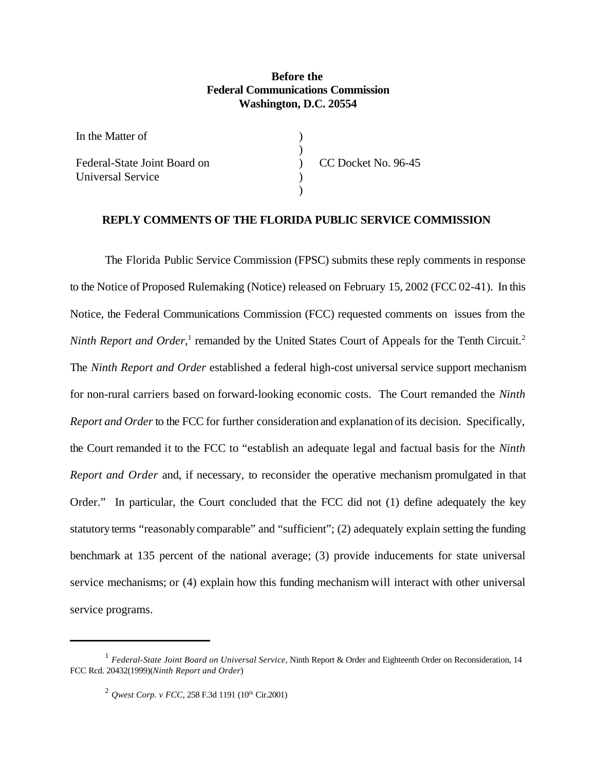## **Before the Federal Communications Commission Washington, D.C. 20554**

| In the Matter of             |                     |
|------------------------------|---------------------|
|                              |                     |
| Federal-State Joint Board on | CC Docket No. 96-45 |
| Universal Service            |                     |
|                              |                     |

### **REPLY COMMENTS OF THE FLORIDA PUBLIC SERVICE COMMISSION**

The Florida Public Service Commission (FPSC) submits these reply comments in response to the Notice of Proposed Rulemaking (Notice) released on February 15, 2002 (FCC 02-41). In this Notice, the Federal Communications Commission (FCC) requested comments on issues from the *Ninth Report and Order*,<sup>1</sup> remanded by the United States Court of Appeals for the Tenth Circuit.<sup>2</sup> The *Ninth Report and Order* established a federal high-cost universal service support mechanism for non-rural carriers based on forward-looking economic costs. The Court remanded the *Ninth Report and Order* to the FCC for further consideration and explanation ofits decision. Specifically, the Court remanded it to the FCC to "establish an adequate legal and factual basis for the *Ninth Report and Order* and, if necessary, to reconsider the operative mechanism promulgated in that Order." In particular, the Court concluded that the FCC did not (1) define adequately the key statutory terms "reasonably comparable" and "sufficient"; (2) adequately explain setting the funding benchmark at 135 percent of the national average; (3) provide inducements for state universal service mechanisms; or (4) explain how this funding mechanism will interact with other universal service programs.

<sup>&</sup>lt;sup>1</sup> Federal-State Joint Board on Universal Service, Ninth Report & Order and Eighteenth Order on Reconsideration, 14 FCC Rcd. 20432(1999)(*Ninth Report and Order*)

<sup>&</sup>lt;sup>2</sup> *Qwest Corp. v FCC*, 258 F.3d 1191 (10<sup>th</sup> Cir.2001)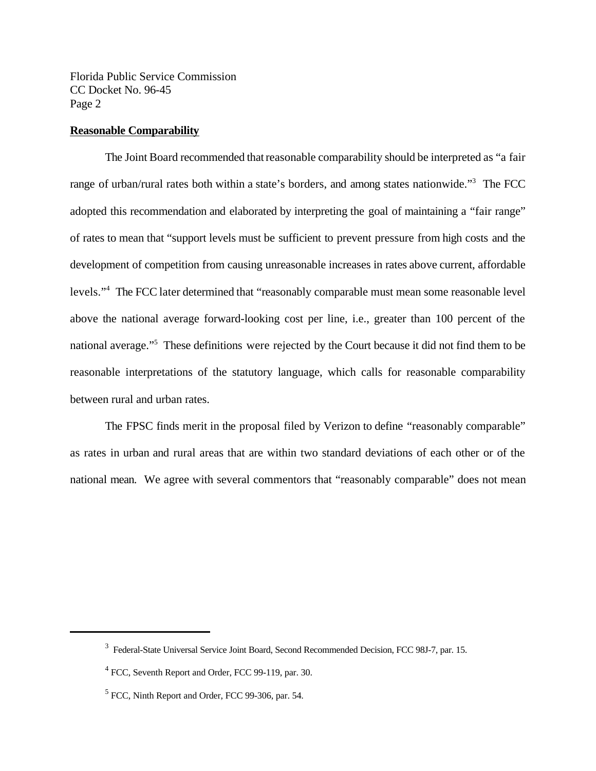#### **Reasonable Comparability**

The Joint Board recommended thatreasonable comparability should be interpreted as "a fair range of urban/rural rates both within a state's borders, and among states nationwide."<sup>3</sup> The FCC adopted this recommendation and elaborated by interpreting the goal of maintaining a "fair range" of rates to mean that "support levels must be sufficient to prevent pressure from high costs and the development of competition from causing unreasonable increases in rates above current, affordable levels."<sup>4</sup> The FCC later determined that "reasonably comparable must mean some reasonable level above the national average forward-looking cost per line, i.e., greater than 100 percent of the national average."<sup>5</sup> These definitions were rejected by the Court because it did not find them to be reasonable interpretations of the statutory language, which calls for reasonable comparability between rural and urban rates.

The FPSC finds merit in the proposal filed by Verizon to define "reasonably comparable" as rates in urban and rural areas that are within two standard deviations of each other or of the national mean. We agree with several commentors that "reasonably comparable" does not mean

<sup>&</sup>lt;sup>3</sup> Federal-State Universal Service Joint Board, Second Recommended Decision, FCC 98J-7, par. 15.

<sup>&</sup>lt;sup>4</sup> FCC, Seventh Report and Order, FCC 99-119, par. 30.

<sup>&</sup>lt;sup>5</sup> FCC, Ninth Report and Order, FCC 99-306, par. 54.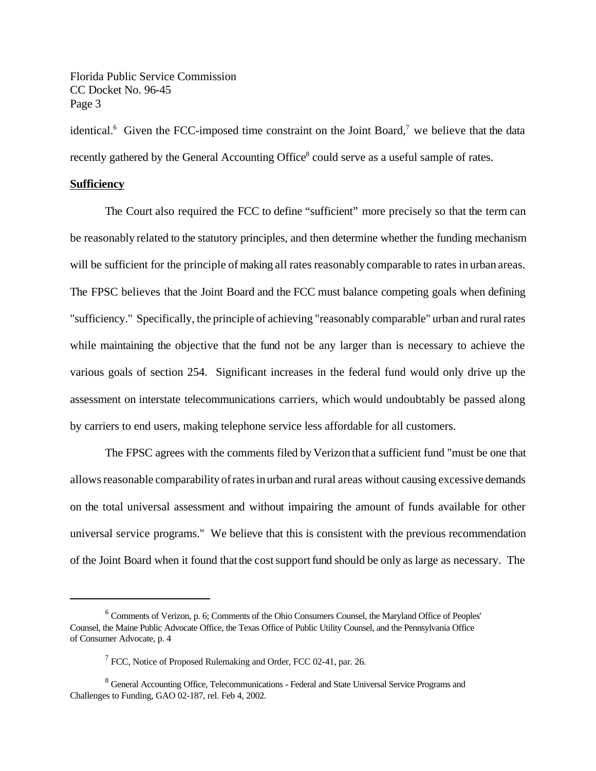identical.<sup>6</sup> Given the FCC-imposed time constraint on the Joint Board,<sup>7</sup> we believe that the data recently gathered by the General Accounting Office<sup>8</sup> could serve as a useful sample of rates.

#### **Sufficiency**

The Court also required the FCC to define "sufficient" more precisely so that the term can be reasonably related to the statutory principles, and then determine whether the funding mechanism will be sufficient for the principle of making all rates reasonably comparable to rates in urban areas. The FPSC believes that the Joint Board and the FCC must balance competing goals when defining "sufficiency." Specifically, the principle of achieving "reasonably comparable" urban and rural rates while maintaining the objective that the fund not be any larger than is necessary to achieve the various goals of section 254. Significant increases in the federal fund would only drive up the assessment on interstate telecommunications carriers, which would undoubtably be passed along by carriers to end users, making telephone service less affordable for all customers.

The FPSC agrees with the comments filed by Verizon that a sufficient fund "must be one that allows reasonable comparability of rates in urban and rural areas without causing excessive demands on the total universal assessment and without impairing the amount of funds available for other universal service programs." We believe that this is consistent with the previous recommendation of the Joint Board when it found thatthe costsupportfund should be only as large as necessary. The

<sup>&</sup>lt;sup>6</sup> Comments of Verizon, p. 6; Comments of the Ohio Consumers Counsel, the Maryland Office of Peoples' Counsel, the Maine Public Advocate Office, the Texas Office of Public Utility Counsel, and the Pennsylvania Office of Consumer Advocate, p. 4

<sup>&</sup>lt;sup>7</sup> FCC, Notice of Proposed Rulemaking and Order, FCC 02-41, par. 26.

<sup>&</sup>lt;sup>8</sup> General Accounting Office, Telecommunications - Federal and State Universal Service Programs and Challenges to Funding, GAO 02-187, rel. Feb 4, 2002.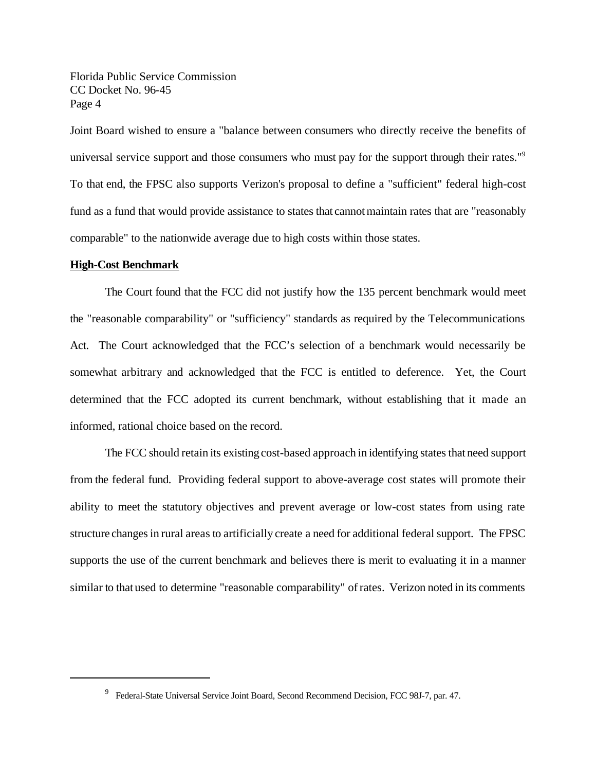Joint Board wished to ensure a "balance between consumers who directly receive the benefits of universal service support and those consumers who must pay for the support through their rates."<sup>9</sup> To that end, the FPSC also supports Verizon's proposal to define a "sufficient" federal high-cost fund as a fund that would provide assistance to states that cannot maintain rates that are "reasonably comparable" to the nationwide average due to high costs within those states.

#### **High-Cost Benchmark**

The Court found that the FCC did not justify how the 135 percent benchmark would meet the "reasonable comparability" or "sufficiency" standards as required by the Telecommunications Act. The Court acknowledged that the FCC's selection of a benchmark would necessarily be somewhat arbitrary and acknowledged that the FCC is entitled to deference. Yet, the Court determined that the FCC adopted its current benchmark, without establishing that it made an informed, rational choice based on the record.

The FCC should retain its existing cost-based approach in identifying states that need support from the federal fund. Providing federal support to above-average cost states will promote their ability to meet the statutory objectives and prevent average or low-cost states from using rate structure changes in rural areas to artificially create a need for additional federal support. The FPSC supports the use of the current benchmark and believes there is merit to evaluating it in a manner similar to that used to determine "reasonable comparability" of rates. Verizon noted in its comments

<sup>&</sup>lt;sup>9</sup> Federal-State Universal Service Joint Board, Second Recommend Decision, FCC 98J-7, par. 47.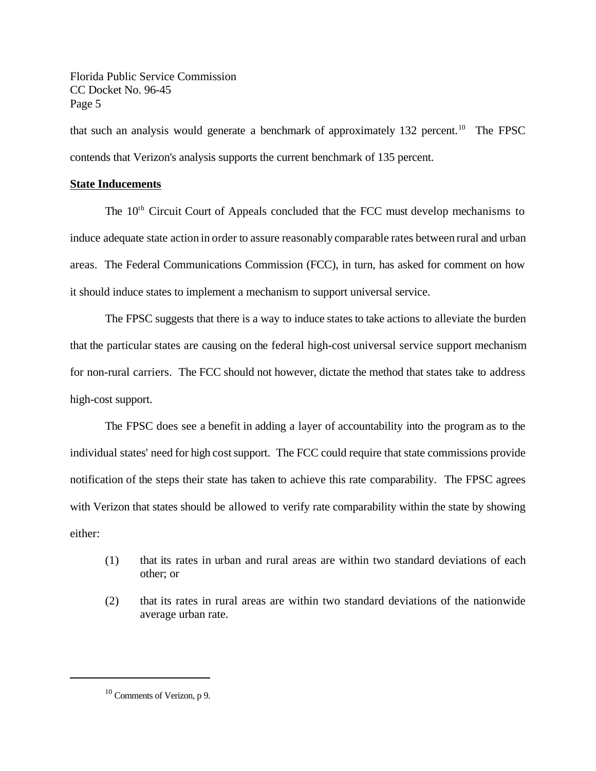that such an analysis would generate a benchmark of approximately 132 percent.<sup>10</sup> The FPSC contends that Verizon's analysis supports the current benchmark of 135 percent.

## **State Inducements**

The 10<sup>th</sup> Circuit Court of Appeals concluded that the FCC must develop mechanisms to induce adequate state action in order to assure reasonably comparable rates between rural and urban areas. The Federal Communications Commission (FCC), in turn, has asked for comment on how it should induce states to implement a mechanism to support universal service.

The FPSC suggests that there is a way to induce states to take actions to alleviate the burden that the particular states are causing on the federal high-cost universal service support mechanism for non-rural carriers. The FCC should not however, dictate the method that states take to address high-cost support.

The FPSC does see a benefit in adding a layer of accountability into the program as to the individual states' need for high cost support. The FCC could require that state commissions provide notification of the steps their state has taken to achieve this rate comparability. The FPSC agrees with Verizon that states should be allowed to verify rate comparability within the state by showing either:

- (1) that its rates in urban and rural areas are within two standard deviations of each other; or
- (2) that its rates in rural areas are within two standard deviations of the nationwide average urban rate.

<sup>&</sup>lt;sup>10</sup> Comments of Verizon, p 9.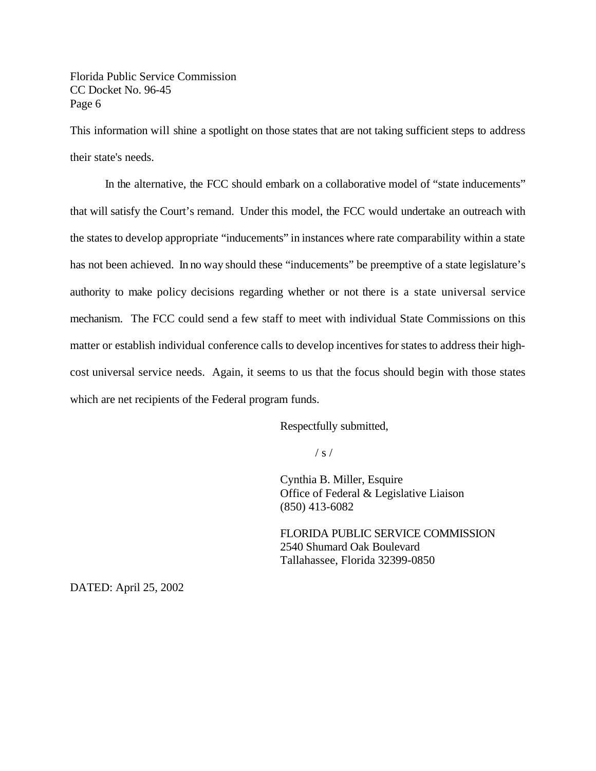This information will shine a spotlight on those states that are not taking sufficient steps to address their state's needs.

In the alternative, the FCC should embark on a collaborative model of "state inducements" that will satisfy the Court's remand. Under this model, the FCC would undertake an outreach with the states to develop appropriate "inducements" in instances where rate comparability within a state has not been achieved. In no way should these "inducements" be preemptive of a state legislature's authority to make policy decisions regarding whether or not there is a state universal service mechanism. The FCC could send a few staff to meet with individual State Commissions on this matter or establish individual conference calls to develop incentives for states to address their highcost universal service needs. Again, it seems to us that the focus should begin with those states which are net recipients of the Federal program funds.

Respectfully submitted,

 $/ s /$ 

Cynthia B. Miller, Esquire Office of Federal & Legislative Liaison (850) 413-6082

FLORIDA PUBLIC SERVICE COMMISSION 2540 Shumard Oak Boulevard Tallahassee, Florida 32399-0850

DATED: April 25, 2002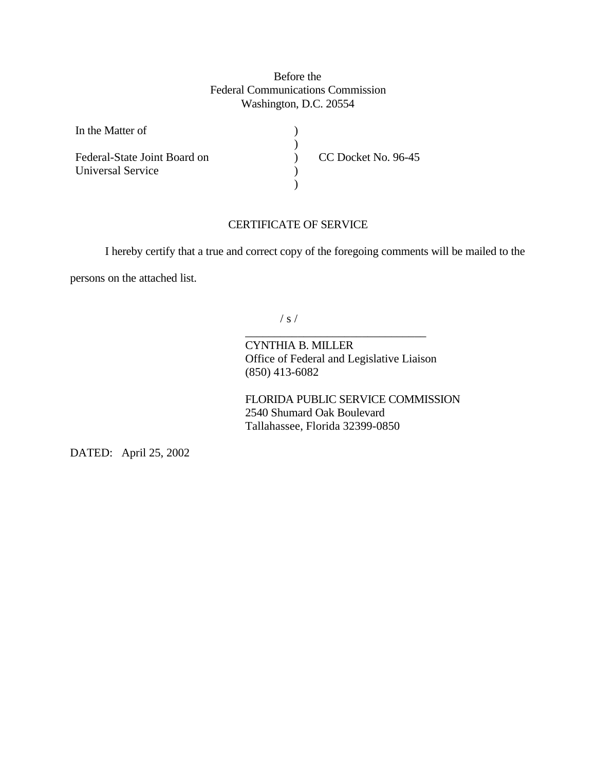## Before the Federal Communications Commission Washington, D.C. 20554

| In the Matter of             |                     |
|------------------------------|---------------------|
|                              |                     |
| Federal-State Joint Board on | CC Docket No. 96-45 |
| Universal Service            |                     |
|                              |                     |

## CERTIFICATE OF SERVICE

I hereby certify that a true and correct copy of the foregoing comments will be mailed to the

persons on the attached list.

 $/ s /$ 

CYNTHIA B. MILLER Office of Federal and Legislative Liaison (850) 413-6082

\_\_\_\_\_\_\_\_\_\_\_\_\_\_\_\_\_\_\_\_\_\_\_\_\_\_\_\_\_\_\_

FLORIDA PUBLIC SERVICE COMMISSION 2540 Shumard Oak Boulevard Tallahassee, Florida 32399-0850

DATED: April 25, 2002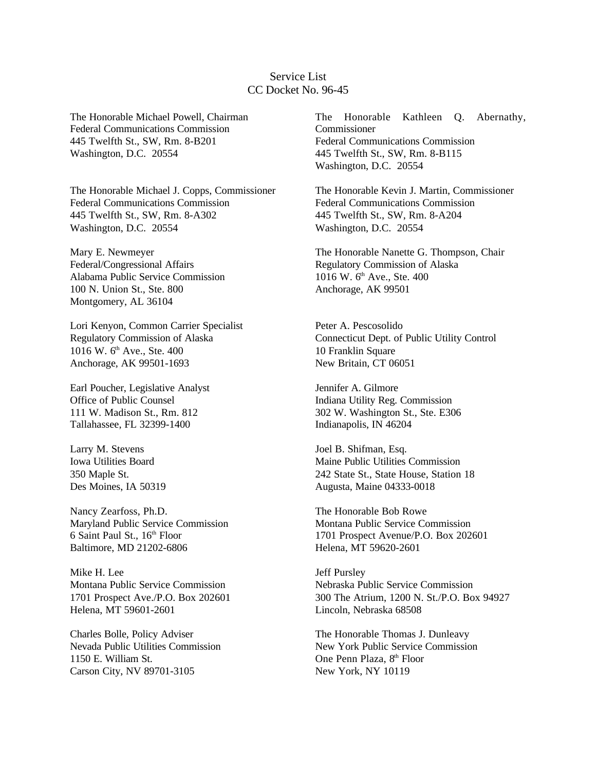## Service List CC Docket No. 96-45

The Honorable Michael Powell, Chairman Federal Communications Commission 445 Twelfth St., SW, Rm. 8-B201 Washington, D.C. 20554

The Honorable Michael J. Copps, Commissioner Federal Communications Commission 445 Twelfth St., SW, Rm. 8-A302 Washington, D.C. 20554

Mary E. Newmeyer Federal/Congressional Affairs Alabama Public Service Commission 100 N. Union St., Ste. 800 Montgomery, AL 36104

Lori Kenyon, Common Carrier Specialist Regulatory Commission of Alaska 1016 W. 6<sup>th</sup> Ave., Ste. 400 Anchorage, AK 99501-1693

Earl Poucher, Legislative Analyst Office of Public Counsel 111 W. Madison St., Rm. 812 Tallahassee, FL 32399-1400

Larry M. Stevens Iowa Utilities Board 350 Maple St. Des Moines, IA 50319

Nancy Zearfoss, Ph.D. Maryland Public Service Commission 6 Saint Paul St., 16<sup>th</sup> Floor Baltimore, MD 21202-6806

Mike H. Lee Montana Public Service Commission 1701 Prospect Ave./P.O. Box 202601 Helena, MT 59601-2601

Charles Bolle, Policy Adviser Nevada Public Utilities Commission 1150 E. William St. Carson City, NV 89701-3105

The Honorable Kathleen Q. Abernathy, Commissioner Federal Communications Commission 445 Twelfth St., SW, Rm. 8-B115 Washington, D.C. 20554

The Honorable Kevin J. Martin, Commissioner Federal Communications Commission 445 Twelfth St., SW, Rm. 8-A204 Washington, D.C. 20554

The Honorable Nanette G. Thompson, Chair Regulatory Commission of Alaska 1016 W. 6<sup>th</sup> Ave., Ste. 400 Anchorage, AK 99501

Peter A. Pescosolido Connecticut Dept. of Public Utility Control 10 Franklin Square New Britain, CT 06051

Jennifer A. Gilmore Indiana Utility Reg. Commission 302 W. Washington St., Ste. E306 Indianapolis, IN 46204

Joel B. Shifman, Esq. Maine Public Utilities Commission 242 State St., State House, Station 18 Augusta, Maine 04333-0018

The Honorable Bob Rowe Montana Public Service Commission 1701 Prospect Avenue/P.O. Box 202601 Helena, MT 59620-2601

Jeff Pursley Nebraska Public Service Commission 300 The Atrium, 1200 N. St./P.O. Box 94927 Lincoln, Nebraska 68508

The Honorable Thomas J. Dunleavy New York Public Service Commission One Penn Plaza, 8<sup>th</sup> Floor New York, NY 10119